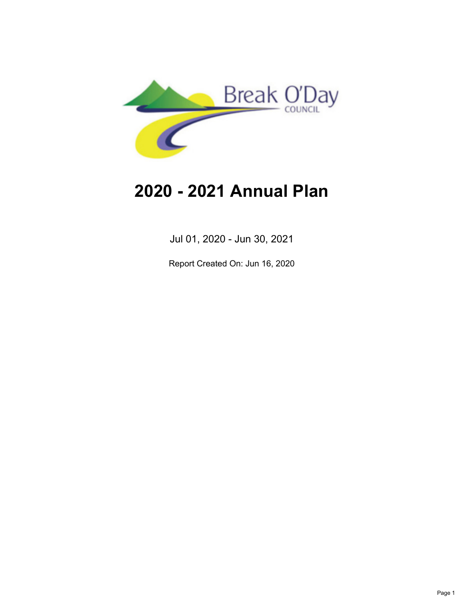

# **2020 - 2021 Annual Plan**

Jul 01, 2020 - Jun 30, 2021

Report Created On: Jun 16, 2020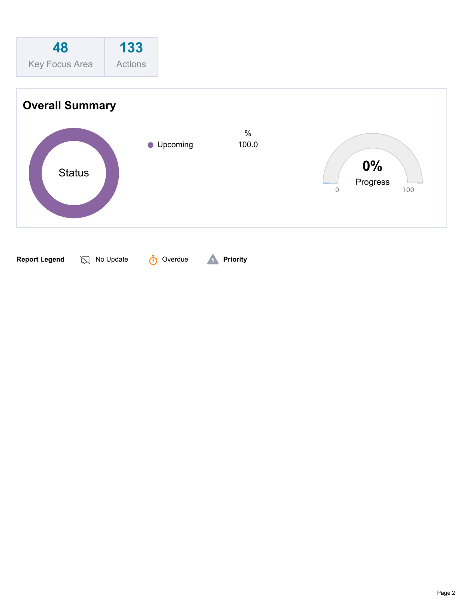

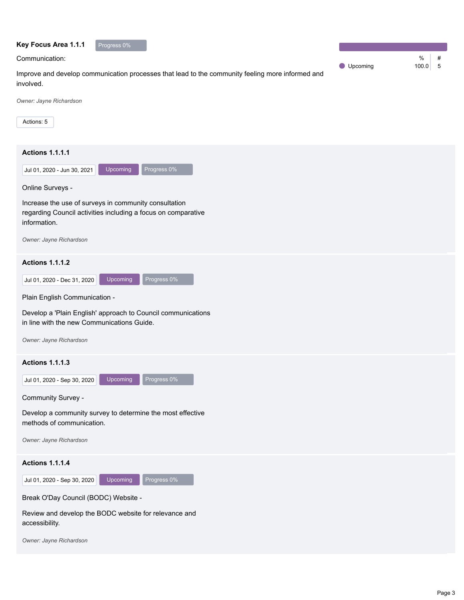| Key Focus Area 1.1.1                                                                                                                                              | Progress 0% |             |  |          |                         |
|-------------------------------------------------------------------------------------------------------------------------------------------------------------------|-------------|-------------|--|----------|-------------------------|
| Communication:                                                                                                                                                    |             |             |  | Upcoming | $\%$<br>#<br>100.0<br>5 |
| Improve and develop communication processes that lead to the community feeling more informed and<br>involved.                                                     |             |             |  |          |                         |
| Owner: Jayne Richardson                                                                                                                                           |             |             |  |          |                         |
| Actions: 5                                                                                                                                                        |             |             |  |          |                         |
| <b>Actions 1.1.1.1</b>                                                                                                                                            |             |             |  |          |                         |
| Jul 01, 2020 - Jun 30, 2021                                                                                                                                       | Upcoming    | Progress 0% |  |          |                         |
| Online Surveys -                                                                                                                                                  |             |             |  |          |                         |
| Increase the use of surveys in community consultation<br>regarding Council activities including a focus on comparative<br>information.<br>Owner: Jayne Richardson |             |             |  |          |                         |
|                                                                                                                                                                   |             |             |  |          |                         |
| <b>Actions 1.1.1.2</b>                                                                                                                                            |             |             |  |          |                         |
| Jul 01, 2020 - Dec 31, 2020                                                                                                                                       | Upcoming    | Progress 0% |  |          |                         |
| Plain English Communication -                                                                                                                                     |             |             |  |          |                         |
| Develop a 'Plain English' approach to Council communications<br>in line with the new Communications Guide.                                                        |             |             |  |          |                         |
| Owner: Jayne Richardson                                                                                                                                           |             |             |  |          |                         |
| <b>Actions 1.1.1.3</b>                                                                                                                                            |             |             |  |          |                         |
| Jul 01, 2020 - Sep 30, 2020 Upcoming Progress 0%                                                                                                                  |             |             |  |          |                         |
| Community Survey -                                                                                                                                                |             |             |  |          |                         |
| Develop a community survey to determine the most effective<br>methods of communication.                                                                           |             |             |  |          |                         |
| Owner: Jayne Richardson                                                                                                                                           |             |             |  |          |                         |
| <b>Actions 1.1.1.4</b>                                                                                                                                            |             |             |  |          |                         |
| Jul 01, 2020 - Sep 30, 2020                                                                                                                                       | Upcoming    | Progress 0% |  |          |                         |
| Break O'Day Council (BODC) Website -                                                                                                                              |             |             |  |          |                         |
| Review and develop the BODC website for relevance and<br>accessibility.                                                                                           |             |             |  |          |                         |

*Owner: Jayne Richardson*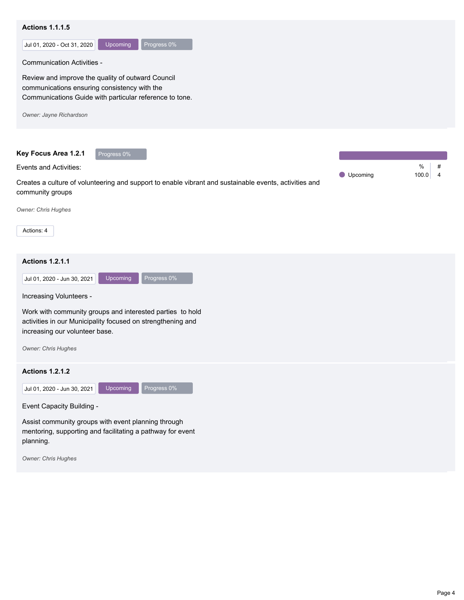| <b>Actions 1.1.1.5</b>                                                                                                                                                                      |          |                                         |
|---------------------------------------------------------------------------------------------------------------------------------------------------------------------------------------------|----------|-----------------------------------------|
| Progress 0%<br>Upcoming<br>Jul 01, 2020 - Oct 31, 2020                                                                                                                                      |          |                                         |
| Communication Activities -                                                                                                                                                                  |          |                                         |
| Review and improve the quality of outward Council<br>communications ensuring consistency with the<br>Communications Guide with particular reference to tone.                                |          |                                         |
| Owner: Jayne Richardson                                                                                                                                                                     |          |                                         |
| Key Focus Area 1.2.1<br>Progress 0%<br>Events and Activities:<br>Creates a culture of volunteering and support to enable vibrant and sustainable events, activities and<br>community groups | Upcoming | $\%$<br>$\#$<br>100.0<br>$\overline{4}$ |
| Owner: Chris Hughes                                                                                                                                                                         |          |                                         |
| Actions: 4                                                                                                                                                                                  |          |                                         |
| <b>Actions 1.2.1.1</b>                                                                                                                                                                      |          |                                         |
| Progress 0%<br>Upcoming<br>Jul 01, 2020 - Jun 30, 2021                                                                                                                                      |          |                                         |
| Increasing Volunteers -                                                                                                                                                                     |          |                                         |
| Work with community groups and interested parties to hold<br>activities in our Municipality focused on strengthening and<br>increasing our volunteer base.                                  |          |                                         |
| <b>Owner: Chris Hughes</b>                                                                                                                                                                  |          |                                         |
| <b>Actions 1.2.1.2</b>                                                                                                                                                                      |          |                                         |
| Progress 0%<br>Upcoming<br>Jul 01, 2020 - Jun 30, 2021                                                                                                                                      |          |                                         |
| Event Capacity Building -                                                                                                                                                                   |          |                                         |
| Assist community groups with event planning through<br>mentoring, supporting and facilitating a pathway for event<br>planning.                                                              |          |                                         |
| Owner: Chris Hughes                                                                                                                                                                         |          |                                         |
|                                                                                                                                                                                             |          |                                         |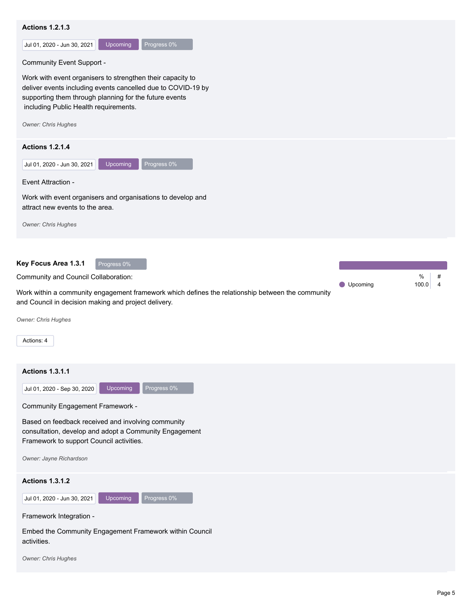| <b>Actions 1.2.1.3</b>                                                                                                                                                                                                                                                                                            |
|-------------------------------------------------------------------------------------------------------------------------------------------------------------------------------------------------------------------------------------------------------------------------------------------------------------------|
| Progress 0%<br>Upcoming<br>Jul 01, 2020 - Jun 30, 2021                                                                                                                                                                                                                                                            |
| Community Event Support -                                                                                                                                                                                                                                                                                         |
| Work with event organisers to strengthen their capacity to<br>deliver events including events cancelled due to COVID-19 by<br>supporting them through planning for the future events<br>including Public Health requirements.<br><b>Owner: Chris Hughes</b>                                                       |
| <b>Actions 1.2.1.4</b>                                                                                                                                                                                                                                                                                            |
| Progress 0%<br>Jul 01, 2020 - Jun 30, 2021<br>Upcoming                                                                                                                                                                                                                                                            |
| Event Attraction -                                                                                                                                                                                                                                                                                                |
| Work with event organisers and organisations to develop and<br>attract new events to the area.                                                                                                                                                                                                                    |
| <b>Owner: Chris Hughes</b>                                                                                                                                                                                                                                                                                        |
| Key Focus Area 1.3.1<br>Progress 0%<br>Community and Council Collaboration:<br>%<br>#<br>Upcoming<br>100.0<br>4<br>Work within a community engagement framework which defines the relationship between the community<br>and Council in decision making and project delivery.<br>Owner: Chris Hughes<br>Actions: 4 |
| <b>Actions 1.3.1.1</b>                                                                                                                                                                                                                                                                                            |
| Progress 0%<br>Upcoming<br>Jul 01, 2020 - Sep 30, 2020                                                                                                                                                                                                                                                            |
| Community Engagement Framework -                                                                                                                                                                                                                                                                                  |
| Based on feedback received and involving community<br>consultation, develop and adopt a Community Engagement<br>Framework to support Council activities.                                                                                                                                                          |
| Owner: Jayne Richardson                                                                                                                                                                                                                                                                                           |
| <b>Actions 1.3.1.2</b>                                                                                                                                                                                                                                                                                            |
| Progress 0%<br>Jul 01, 2020 - Jun 30, 2021<br>Upcoming                                                                                                                                                                                                                                                            |
| Framework Integration -                                                                                                                                                                                                                                                                                           |
| Embed the Community Engagement Framework within Council<br>activities.                                                                                                                                                                                                                                            |
| <b>Owner: Chris Hughes</b>                                                                                                                                                                                                                                                                                        |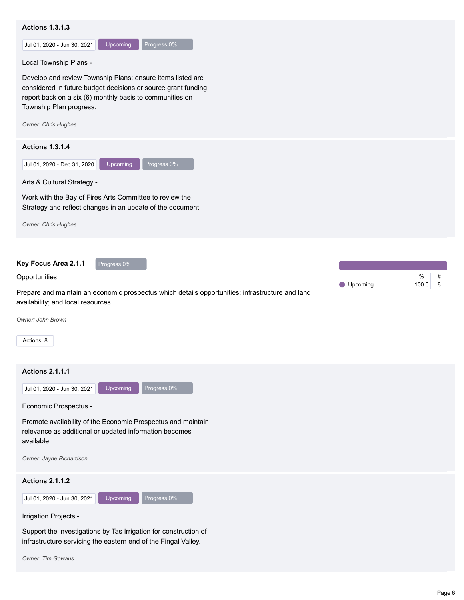

*Owner: Tim Gowans*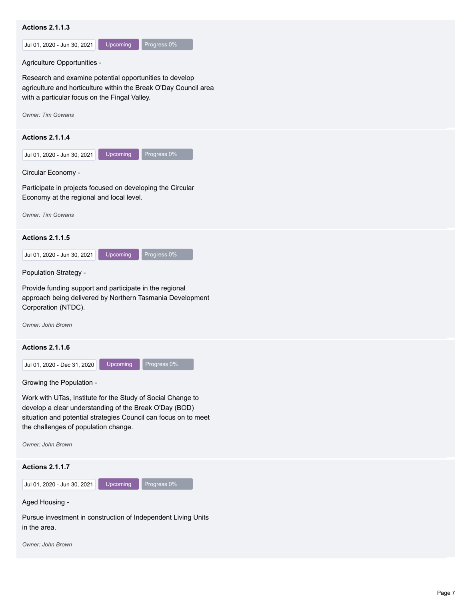| <b>Actions 2.1.1.3</b>                                                                                                                                                                                                           |
|----------------------------------------------------------------------------------------------------------------------------------------------------------------------------------------------------------------------------------|
| Progress 0%<br>Upcoming<br>Jul 01, 2020 - Jun 30, 2021                                                                                                                                                                           |
| Agriculture Opportunities -                                                                                                                                                                                                      |
| Research and examine potential opportunities to develop<br>agriculture and horticulture within the Break O'Day Council area<br>with a particular focus on the Fingal Valley.                                                     |
| <b>Owner: Tim Gowans</b>                                                                                                                                                                                                         |
| <b>Actions 2.1.1.4</b>                                                                                                                                                                                                           |
| Progress 0%<br>Upcoming<br>Jul 01, 2020 - Jun 30, 2021                                                                                                                                                                           |
| Circular Economy -                                                                                                                                                                                                               |
| Participate in projects focused on developing the Circular<br>Economy at the regional and local level.                                                                                                                           |
| <b>Owner: Tim Gowans</b>                                                                                                                                                                                                         |
| <b>Actions 2.1.1.5</b>                                                                                                                                                                                                           |
| Progress 0%<br>Jul 01, 2020 - Jun 30, 2021<br>Upcoming                                                                                                                                                                           |
| Population Strategy -                                                                                                                                                                                                            |
| Provide funding support and participate in the regional<br>approach being delivered by Northern Tasmania Development<br>Corporation (NTDC).                                                                                      |
| Owner: John Brown                                                                                                                                                                                                                |
| <b>Actions 2.1.1.6</b>                                                                                                                                                                                                           |
| Progress 0%<br>Upcoming<br>Jul 01, 2020 - Dec 31, 2020                                                                                                                                                                           |
| Growing the Population -                                                                                                                                                                                                         |
| Work with UTas, Institute for the Study of Social Change to<br>develop a clear understanding of the Break O'Day (BOD)<br>situation and potential strategies Council can focus on to meet<br>the challenges of population change. |
| Owner: John Brown                                                                                                                                                                                                                |
| <b>Actions 2.1.1.7</b>                                                                                                                                                                                                           |
| Progress 0%<br>Jul 01, 2020 - Jun 30, 2021<br>Upcoming                                                                                                                                                                           |
| Aged Housing -                                                                                                                                                                                                                   |

Pursue investment in construction of Independent Living Units in the area.

*Owner: John Brown*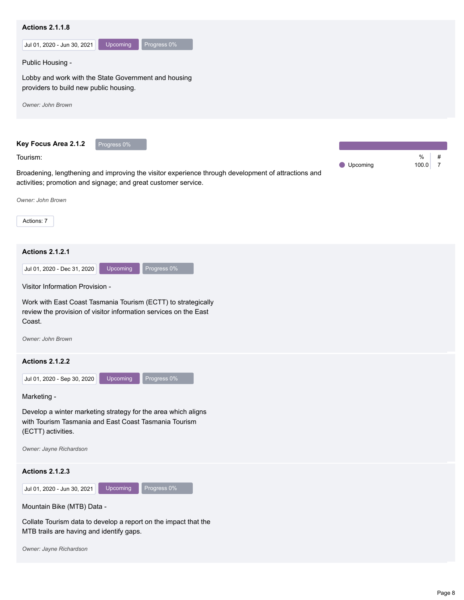| <b>Actions 2.1.1.8</b>                                                                                                                                                |          |                               |
|-----------------------------------------------------------------------------------------------------------------------------------------------------------------------|----------|-------------------------------|
| Progress 0%<br>Jul 01, 2020 - Jun 30, 2021<br>Upcoming                                                                                                                |          |                               |
| Public Housing -                                                                                                                                                      |          |                               |
| Lobby and work with the State Government and housing<br>providers to build new public housing.                                                                        |          |                               |
| Owner: John Brown                                                                                                                                                     |          |                               |
| Key Focus Area 2.1.2<br>Progress 0%                                                                                                                                   |          |                               |
| Tourism:                                                                                                                                                              |          | $\%$<br>#<br>$\boldsymbol{7}$ |
| Broadening, lengthening and improving the visitor experience through development of attractions and<br>activities; promotion and signage; and great customer service. | Upcoming | 100.0                         |
| Owner: John Brown                                                                                                                                                     |          |                               |
| Actions: 7                                                                                                                                                            |          |                               |
| <b>Actions 2.1.2.1</b>                                                                                                                                                |          |                               |
| Progress 0%<br>Upcoming<br>Jul 01, 2020 - Dec 31, 2020                                                                                                                |          |                               |
| Visitor Information Provision -                                                                                                                                       |          |                               |
| Work with East Coast Tasmania Tourism (ECTT) to strategically<br>review the provision of visitor information services on the East<br>Coast.                           |          |                               |
| Owner: John Brown                                                                                                                                                     |          |                               |
| <b>Actions 2.1.2.2</b>                                                                                                                                                |          |                               |
| Progress 0%<br>Jul 01, 2020 - Sep 30, 2020<br>Upcoming                                                                                                                |          |                               |
| Marketing -                                                                                                                                                           |          |                               |
| Develop a winter marketing strategy for the area which aligns<br>with Tourism Tasmania and East Coast Tasmania Tourism<br>(ECTT) activities.                          |          |                               |
| Owner: Jayne Richardson                                                                                                                                               |          |                               |
| <b>Actions 2.1.2.3</b>                                                                                                                                                |          |                               |
| Upcoming<br>Progress 0%<br>Jul 01, 2020 - Jun 30, 2021                                                                                                                |          |                               |
| Mountain Bike (MTB) Data -                                                                                                                                            |          |                               |
| Collate Tourism data to develop a report on the impact that the<br>MTB trails are having and identify gaps.                                                           |          |                               |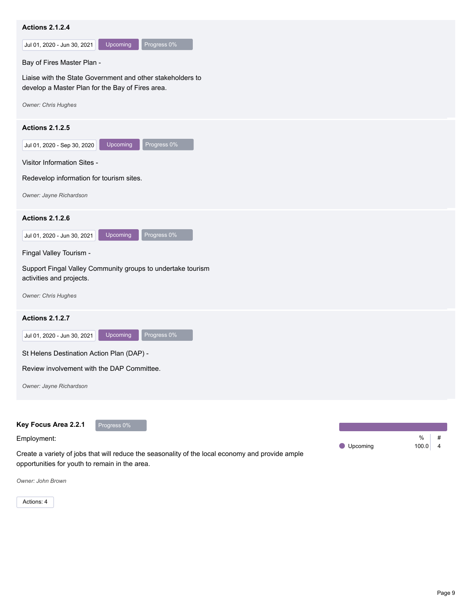| <b>Actions 2.1.2.4</b><br>Progress 0%<br>Upcoming<br>Jul 01, 2020 - Jun 30, 2021<br>Bay of Fires Master Plan -<br>Liaise with the State Government and other stakeholders to<br>develop a Master Plan for the Bay of Fires area.<br>Owner: Chris Hughes |                         |                   |
|---------------------------------------------------------------------------------------------------------------------------------------------------------------------------------------------------------------------------------------------------------|-------------------------|-------------------|
| <b>Actions 2.1.2.5</b><br>Progress 0%<br>Jul 01, 2020 - Sep 30, 2020<br>Upcoming<br>Visitor Information Sites -<br>Redevelop information for tourism sites.<br>Owner: Jayne Richardson                                                                  |                         |                   |
| <b>Actions 2.1.2.6</b><br>Progress 0%<br>Upcoming<br>Jul 01, 2020 - Jun 30, 2021<br>Fingal Valley Tourism -<br>Support Fingal Valley Community groups to undertake tourism<br>activities and projects.<br>Owner: Chris Hughes                           |                         |                   |
| <b>Actions 2.1.2.7</b><br>Progress 0%<br>Jul 01, 2020 - Jun 30, 2021<br>Upcoming<br>St Helens Destination Action Plan (DAP) -<br>Review involvement with the DAP Committee.<br>Owner: Jayne Richardson                                                  |                         |                   |
| Key Focus Area 2.2.1<br>Progress 0%<br>Employment:                                                                                                                                                                                                      | $\blacksquare$ Uncoming | $\%$<br>#<br>1000 |

Create a variety of jobs that will reduce the seasonality of the local economy and provide ample opportunities for youth to remain in the area.

|          | $\%$      | # |
|----------|-----------|---|
| Upcoming | $100.0$ 4 |   |

*Owner: John Brown*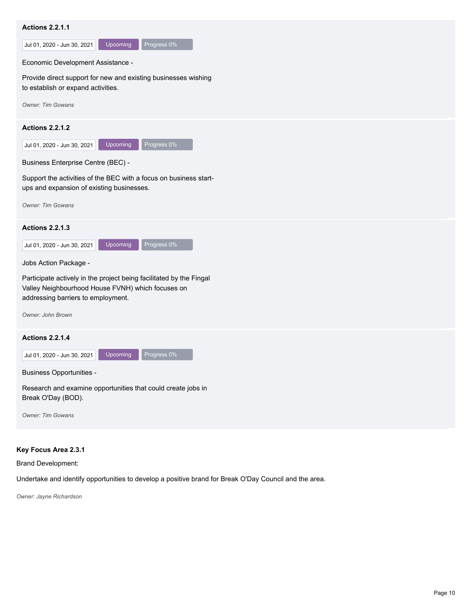#### **Actions 2.2.1.1**

Jul 01, 2020 - Jun 30, 2021 Upcoming Progress 0%

Economic Development Assistance -

Provide direct support for new and existing businesses wishing to establish or expand activities.

*Owner: Tim Gowans*



Business Enterprise Centre (BEC) -

Support the activities of the BEC with a focus on business startups and expansion of existing businesses.

*Owner: Tim Gowans*



Jobs Action Package -

Participate actively in the project being facilitated by the Fingal Valley Neighbourhood House FVNH) which focuses on addressing barriers to employment.

*Owner: John Brown*



*Owner: Tim Gowans*

#### **Key Focus Area 2.3.1**

Brand Development:

Undertake and identify opportunities to develop a positive brand for Break O'Day Council and the area.

*Owner: Jayne Richardson*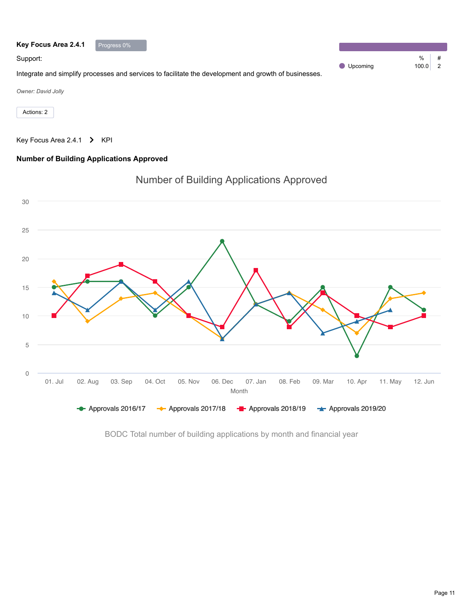| Key Focus Area 2.4.1<br>Progress 0%                                                                   |                     |        |
|-------------------------------------------------------------------------------------------------------|---------------------|--------|
| Support:                                                                                              |                     | %<br># |
| Integrate and simplify processes and services to facilitate the development and growth of businesses. | $\bigcirc$ Upcoming | 100.0  |
| Owner: David Jolly                                                                                    |                     |        |
| Actions: 2                                                                                            |                     |        |

Key Focus Area 2.4.1 > KPI

### **Number of Building Applications Approved**



# Number of Building Applications Approved

BODC Total number of building applications by month and financial year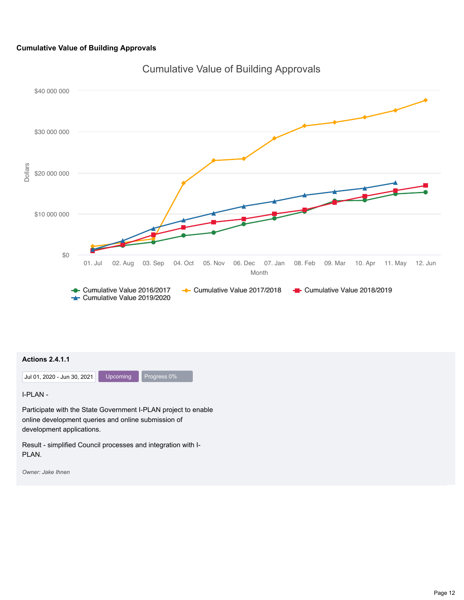#### **Cumulative Value of Building Approvals**



## Cumulative Value of Building Approvals

#### **Actions 2.4.1.1**

Jul 01, 2020 - Jun 30, 2021 Upcoming Progress 0%

I-PLAN -

Participate with the State Government I-PLAN project to enable online development queries and online submission of development applications.

Result - simplified Council processes and integration with I-PLAN.

*Owner: Jake Ihnen*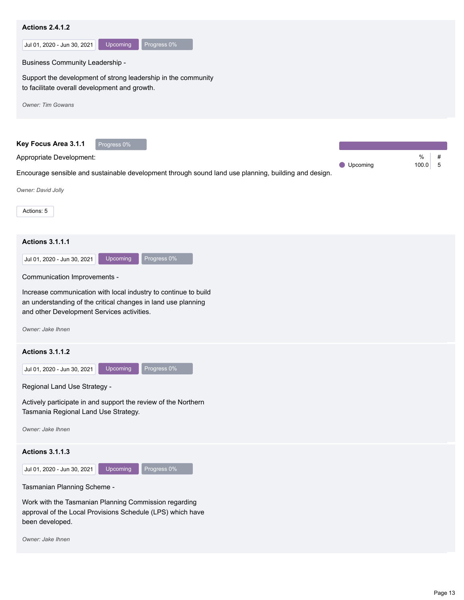| <b>Actions 2.4.1.2</b>                                                                                                                                                                                                                                                                                                  |          |                    |
|-------------------------------------------------------------------------------------------------------------------------------------------------------------------------------------------------------------------------------------------------------------------------------------------------------------------------|----------|--------------------|
| Progress 0%<br>Jul 01, 2020 - Jun 30, 2021<br><b>Upcoming</b>                                                                                                                                                                                                                                                           |          |                    |
| <b>Business Community Leadership -</b>                                                                                                                                                                                                                                                                                  |          |                    |
| Support the development of strong leadership in the community<br>to facilitate overall development and growth.                                                                                                                                                                                                          |          |                    |
| <b>Owner: Tim Gowans</b>                                                                                                                                                                                                                                                                                                |          |                    |
| Key Focus Area 3.1.1<br>Progress 0%<br>Appropriate Development:<br>Encourage sensible and sustainable development through sound land use planning, building and design.<br>Owner: David Jolly<br>Actions: 5                                                                                                             | Upcoming | $\%$<br>5<br>100.0 |
| <b>Actions 3.1.1.1</b><br>Progress 0%<br>Upcoming<br>Jul 01, 2020 - Jun 30, 2021<br>Communication Improvements -<br>Increase communication with local industry to continue to build<br>an understanding of the critical changes in land use planning<br>and other Development Services activities.<br>Owner: Jake Ihnen |          |                    |
| <b>Actions 3.1.1.2</b><br>Progress 0%<br>Jul 01, 2020 - Jun 30, 2021<br>Upcoming<br>Regional Land Use Strategy -<br>Actively participate in and support the review of the Northern<br>Tasmania Regional Land Use Strategy.<br>Owner: Jake Ihnen                                                                         |          |                    |
| <b>Actions 3.1.1.3</b><br>Progress 0%<br>Upcoming<br>Jul 01, 2020 - Jun 30, 2021<br>Tasmanian Planning Scheme -<br>Work with the Tasmanian Planning Commission regarding<br>approval of the Local Provisions Schedule (LPS) which have<br>been developed.<br>Owner: Jake Ihnen                                          |          |                    |
|                                                                                                                                                                                                                                                                                                                         |          |                    |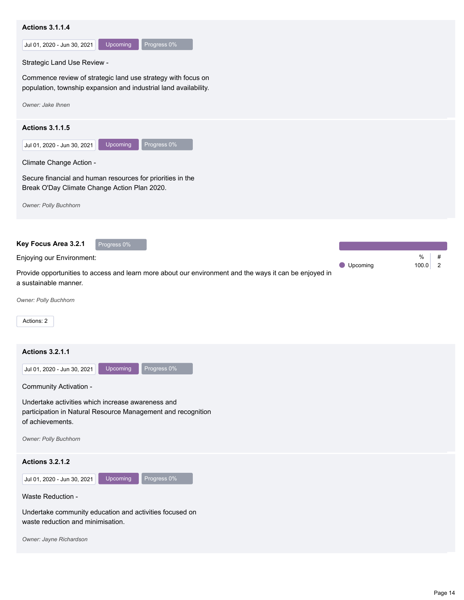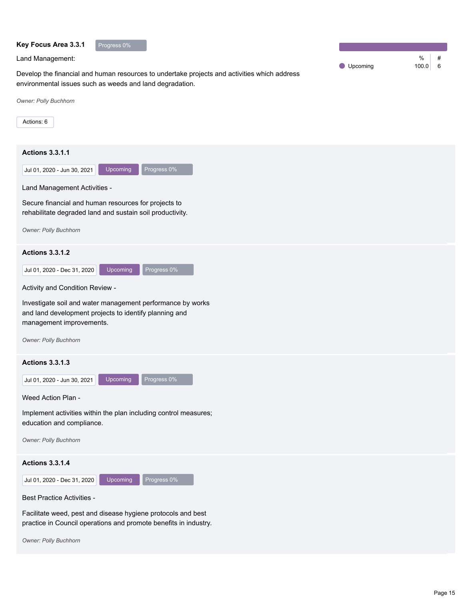| Key Focus Area 3.3.1 |  |  |
|----------------------|--|--|
|----------------------|--|--|



Land Management:

Develop the financial and human resources to undertake projects and activities which address environmental issues such as weeds and land degradation.

|          | $\%$  | #   |  |
|----------|-------|-----|--|
| Upcoming | 100.0 | - 6 |  |
|          |       |     |  |

*Owner: Polly Buchhorn*

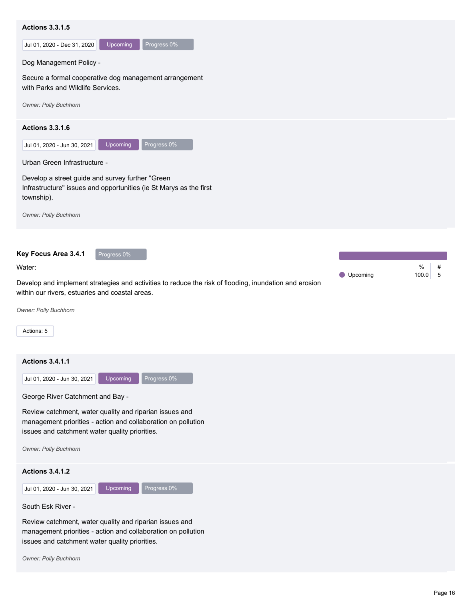| <b>Actions 3.3.1.5</b>                                                                                                                                                     |          |            |
|----------------------------------------------------------------------------------------------------------------------------------------------------------------------------|----------|------------|
| Progress 0%<br>Upcoming<br>Jul 01, 2020 - Dec 31, 2020                                                                                                                     |          |            |
| Dog Management Policy -                                                                                                                                                    |          |            |
| Secure a formal cooperative dog management arrangement<br>with Parks and Wildlife Services.                                                                                |          |            |
| Owner: Polly Buchhorn                                                                                                                                                      |          |            |
| <b>Actions 3.3.1.6</b>                                                                                                                                                     |          |            |
| Progress 0%<br>Jul 01, 2020 - Jun 30, 2021<br><b>Upcoming</b>                                                                                                              |          |            |
| Urban Green Infrastructure -                                                                                                                                               |          |            |
| Develop a street guide and survey further "Green<br>Infrastructure" issues and opportunities (ie St Marys as the first<br>township).                                       |          |            |
| Owner: Polly Buchhorn                                                                                                                                                      |          |            |
|                                                                                                                                                                            |          |            |
| Key Focus Area 3.4.1<br>Progress 0%<br>Water:                                                                                                                              |          | $\%$<br>#  |
| Develop and implement strategies and activities to reduce the risk of flooding, inundation and erosion                                                                     | Upcoming | 100.0<br>5 |
| within our rivers, estuaries and coastal areas.                                                                                                                            |          |            |
|                                                                                                                                                                            |          |            |
| Owner: Polly Buchhorn                                                                                                                                                      |          |            |
| Actions: 5                                                                                                                                                                 |          |            |
|                                                                                                                                                                            |          |            |
| <b>Actions 3.4.1.1</b>                                                                                                                                                     |          |            |
| Progress 0%<br>Upcoming<br>Jul 01, 2020 - Jun 30, 2021                                                                                                                     |          |            |
| George River Catchment and Bay -                                                                                                                                           |          |            |
| Review catchment, water quality and riparian issues and                                                                                                                    |          |            |
| management priorities - action and collaboration on pollution<br>issues and catchment water quality priorities.                                                            |          |            |
| Owner: Polly Buchhorn                                                                                                                                                      |          |            |
| <b>Actions 3.4.1.2</b>                                                                                                                                                     |          |            |
| Progress 0%<br>Upcoming<br>Jul 01, 2020 - Jun 30, 2021                                                                                                                     |          |            |
| South Esk River -                                                                                                                                                          |          |            |
| Review catchment, water quality and riparian issues and<br>management priorities - action and collaboration on pollution<br>issues and catchment water quality priorities. |          |            |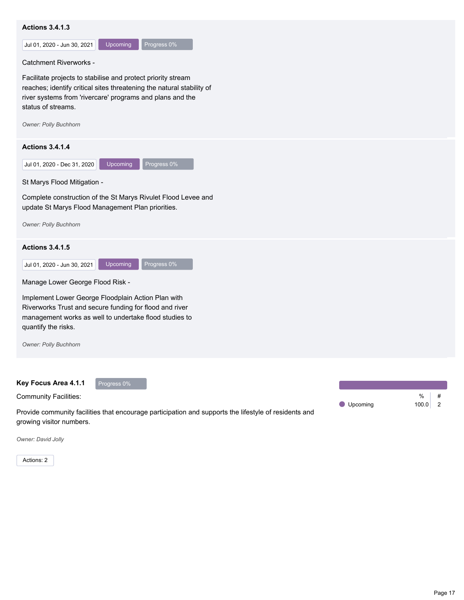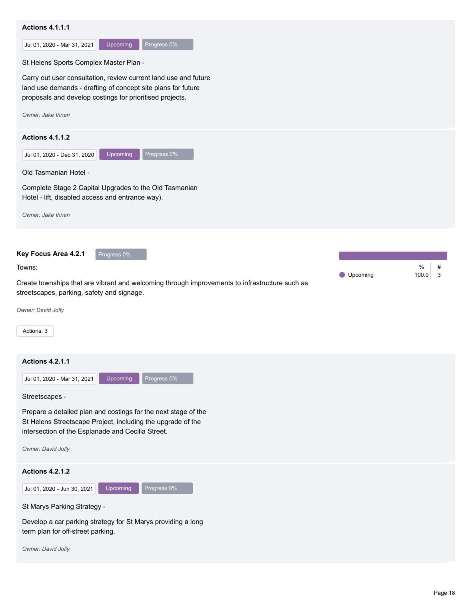| <b>Actions 4.1.1.1</b>                                                                                                                                                                      |          |            |
|---------------------------------------------------------------------------------------------------------------------------------------------------------------------------------------------|----------|------------|
| Progress 0%<br>Upcoming<br>Jul 01, 2020 - Mar 31, 2021                                                                                                                                      |          |            |
| St Helens Sports Complex Master Plan -                                                                                                                                                      |          |            |
| Carry out user consultation, review current land use and future<br>land use demands - drafting of concept site plans for future<br>proposals and develop costings for prioritised projects. |          |            |
| Owner: Jake Ihnen                                                                                                                                                                           |          |            |
| <b>Actions 4.1.1.2</b>                                                                                                                                                                      |          |            |
| Progress 0%<br>Upcoming<br>Jul 01, 2020 - Dec 31, 2020                                                                                                                                      |          |            |
| Old Tasmanian Hotel -                                                                                                                                                                       |          |            |
| Complete Stage 2 Capital Upgrades to the Old Tasmanian<br>Hotel - lift, disabled access and entrance way).                                                                                  |          |            |
| Owner: Jake Ihnen                                                                                                                                                                           |          |            |
|                                                                                                                                                                                             |          |            |
| Key Focus Area 4.2.1<br>Progress 0%                                                                                                                                                         |          |            |
| Towns:                                                                                                                                                                                      |          | %<br>#     |
| Create townships that are vibrant and welcoming through improvements to infrastructure such as<br>streetscapes, parking, safety and signage.                                                | Upcoming | 100.0<br>3 |
|                                                                                                                                                                                             |          |            |
| Owner: David Jolly                                                                                                                                                                          |          |            |
| Actions: 3                                                                                                                                                                                  |          |            |
|                                                                                                                                                                                             |          |            |
| <b>Actions 4.2.1.1</b>                                                                                                                                                                      |          |            |
| Progress 0%<br>Upcoming<br>Jul 01, 2020 - Mar 31, 2021                                                                                                                                      |          |            |
| Streetscapes -                                                                                                                                                                              |          |            |
| Prepare a detailed plan and costings for the next stage of the<br>St Helens Streetscape Project, including the upgrade of the<br>intersection of the Esplanade and Cecilia Street.          |          |            |
| Owner: David Jolly                                                                                                                                                                          |          |            |
| <b>Actions 4.2.1.2</b>                                                                                                                                                                      |          |            |
| Progress 0%<br>Upcoming<br>Jul 01, 2020 - Jun 30, 2021                                                                                                                                      |          |            |
| St Marys Parking Strategy -                                                                                                                                                                 |          |            |
| Develop a car parking strategy for St Marys providing a long<br>term plan for off-street parking.                                                                                           |          |            |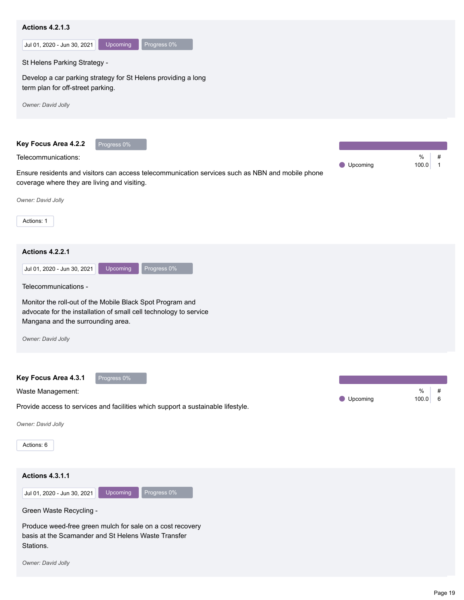| <b>Actions 4.2.1.3</b>                                                                                                                                              |          |                         |
|---------------------------------------------------------------------------------------------------------------------------------------------------------------------|----------|-------------------------|
| Progress 0%<br>Jul 01, 2020 - Jun 30, 2021<br>Upcoming                                                                                                              |          |                         |
| St Helens Parking Strategy -                                                                                                                                        |          |                         |
| Develop a car parking strategy for St Helens providing a long<br>term plan for off-street parking.                                                                  |          |                         |
| Owner: David Jolly                                                                                                                                                  |          |                         |
|                                                                                                                                                                     |          |                         |
| Key Focus Area 4.2.2<br>Progress 0%<br>Telecommunications:                                                                                                          |          | %<br>#                  |
| Ensure residents and visitors can access telecommunication services such as NBN and mobile phone<br>coverage where they are living and visiting.                    | Upcoming | 100.0<br>$\overline{1}$ |
| Owner: David Jolly                                                                                                                                                  |          |                         |
| Actions: 1                                                                                                                                                          |          |                         |
| <b>Actions 4.2.2.1</b>                                                                                                                                              |          |                         |
| Progress 0%<br>Upcoming<br>Jul 01, 2020 - Jun 30, 2021                                                                                                              |          |                         |
| Telecommunications -                                                                                                                                                |          |                         |
| Monitor the roll-out of the Mobile Black Spot Program and<br>advocate for the installation of small cell technology to service<br>Mangana and the surrounding area. |          |                         |
| Owner: David Jolly                                                                                                                                                  |          |                         |
|                                                                                                                                                                     |          |                         |
| Key Focus Area 4.3.1<br>Progress 0%<br>Waste Management:                                                                                                            |          | %<br>#                  |
| Provide access to services and facilities which support a sustainable lifestyle.                                                                                    | Upcoming | 100.0<br>6              |
| Owner: David Jolly                                                                                                                                                  |          |                         |
| Actions: 6                                                                                                                                                          |          |                         |
| <b>Actions 4.3.1.1</b>                                                                                                                                              |          |                         |
| Progress 0%<br>Jul 01, 2020 - Jun 30, 2021<br>Upcoming                                                                                                              |          |                         |
| Green Waste Recycling -                                                                                                                                             |          |                         |
| Produce weed-free green mulch for sale on a cost recovery<br>basis at the Scamander and St Helens Waste Transfer<br>Stations.                                       |          |                         |
| Owner: David Jolly                                                                                                                                                  |          |                         |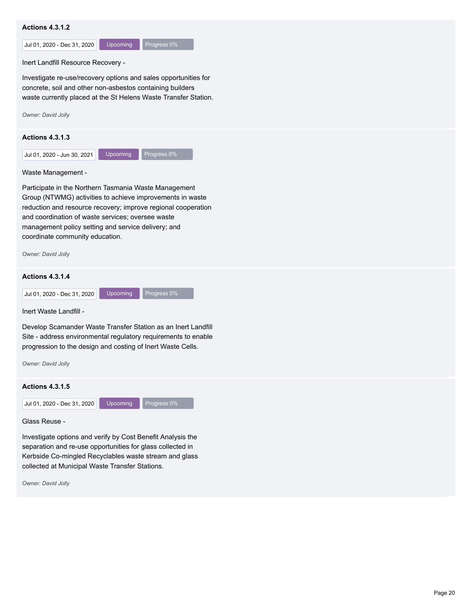#### **Actions 4.3.1.2**

Jul 01, 2020 - Dec 31, 2020 Upcoming Progress 0%

Inert Landfill Resource Recovery -

Investigate re-use/recovery options and sales opportunities for concrete, soil and other non-asbestos containing builders waste currently placed at the St Helens Waste Transfer Station.

*Owner: David Jolly*



Participate in the Northern Tasmania Waste Management Group (NTWMG) activities to achieve improvements in waste reduction and resource recovery; improve regional cooperation and coordination of waste services; oversee waste management policy setting and service delivery; and coordinate community education.

*Owner: David Jolly*

#### **Actions 4.3.1.4**



Inert Waste Landfill -

Develop Scamander Waste Transfer Station as an Inert Landfill Site - address environmental regulatory requirements to enable progression to the design and costing of Inert Waste Cells.

*Owner: David Jolly*



separation and re-use opportunities for glass collected in Kerbside Co-mingled Recyclables waste stream and glass collected at Municipal Waste Transfer Stations.

*Owner: David Jolly*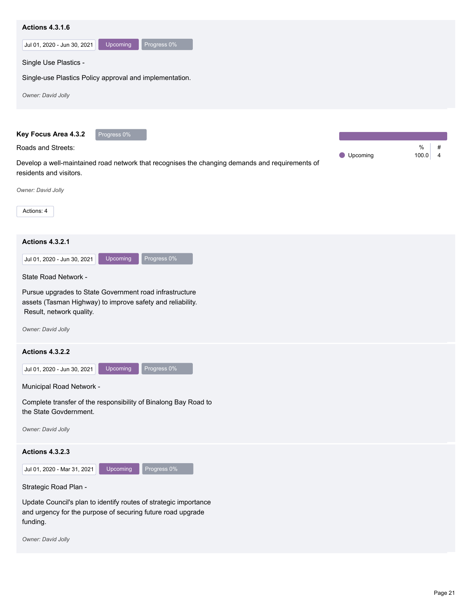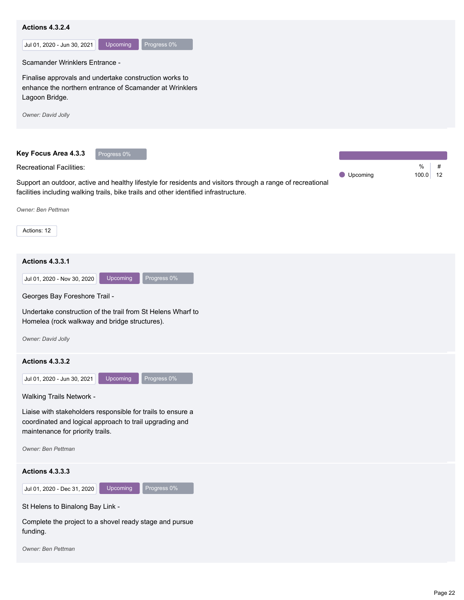| <b>Actions 4.3.2.4</b>                                                                                                                                                                                                                                                                                              |          |                       |
|---------------------------------------------------------------------------------------------------------------------------------------------------------------------------------------------------------------------------------------------------------------------------------------------------------------------|----------|-----------------------|
| Progress 0%<br>Upcoming<br>Jul 01, 2020 - Jun 30, 2021                                                                                                                                                                                                                                                              |          |                       |
| Scamander Wrinklers Entrance -                                                                                                                                                                                                                                                                                      |          |                       |
| Finalise approvals and undertake construction works to<br>enhance the northern entrance of Scamander at Wrinklers<br>Lagoon Bridge.                                                                                                                                                                                 |          |                       |
| Owner: David Jolly                                                                                                                                                                                                                                                                                                  |          |                       |
| Key Focus Area 4.3.3<br>Progress 0%<br><b>Recreational Facilities:</b><br>Support an outdoor, active and healthy lifestyle for residents and visitors through a range of recreational<br>facilities including walking trails, bike trails and other identified infrastructure.<br>Owner: Ben Pettman<br>Actions: 12 | Upcoming | %<br>#<br>100.0<br>12 |
| <b>Actions 4.3.3.1</b><br>Progress 0%<br>Jul 01, 2020 - Nov 30, 2020<br>Upcoming<br>Georges Bay Foreshore Trail -<br>Undertake construction of the trail from St Helens Wharf to<br>Homelea (rock walkway and bridge structures).<br>Owner: David Jolly                                                             |          |                       |
| <b>Actions 4.3.3.2</b><br>Progress 0%<br>Jul 01, 2020 - Jun 30, 2021<br>Upcoming<br><b>Walking Trails Network -</b><br>Liaise with stakeholders responsible for trails to ensure a<br>coordinated and logical approach to trail upgrading and<br>maintenance for priority trails.<br>Owner: Ben Pettman             |          |                       |
| <b>Actions 4.3.3.3</b>                                                                                                                                                                                                                                                                                              |          |                       |
| Progress 0%<br>Upcoming<br>Jul 01, 2020 - Dec 31, 2020                                                                                                                                                                                                                                                              |          |                       |
| St Helens to Binalong Bay Link -                                                                                                                                                                                                                                                                                    |          |                       |
| Complete the project to a shovel ready stage and pursue<br>funding.                                                                                                                                                                                                                                                 |          |                       |
| Owner: Ben Pettman                                                                                                                                                                                                                                                                                                  |          |                       |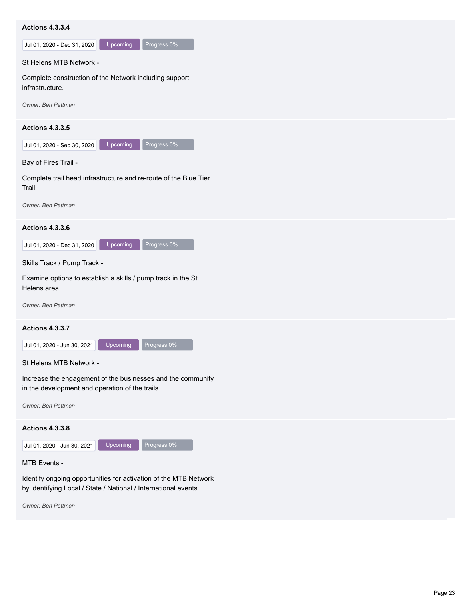| <b>Actions 4.3.3.4</b>                                                                                                              |
|-------------------------------------------------------------------------------------------------------------------------------------|
| Progress 0%<br>Upcoming<br>Jul 01, 2020 - Dec 31, 2020                                                                              |
| St Helens MTB Network -                                                                                                             |
| Complete construction of the Network including support<br>infrastructure.                                                           |
| Owner: Ben Pettman                                                                                                                  |
| <b>Actions 4.3.3.5</b>                                                                                                              |
| Progress 0%<br>Upcoming<br>Jul 01, 2020 - Sep 30, 2020                                                                              |
| Bay of Fires Trail -                                                                                                                |
| Complete trail head infrastructure and re-route of the Blue Tier<br>Trail.                                                          |
| Owner: Ben Pettman                                                                                                                  |
| <b>Actions 4.3.3.6</b>                                                                                                              |
| Progress 0%<br>Upcoming<br>Jul 01, 2020 - Dec 31, 2020                                                                              |
| Skills Track / Pump Track -                                                                                                         |
| Examine options to establish a skills / pump track in the St<br>Helens area.                                                        |
| Owner: Ben Pettman                                                                                                                  |
| <b>Actions 4.3.3.7</b>                                                                                                              |
| Progress 0%<br>Upcoming<br>Jul 01, 2020 - Jun 30, 2021                                                                              |
| St Helens MTB Network -                                                                                                             |
| Increase the engagement of the businesses and the community<br>in the development and operation of the trails.                      |
| Owner: Ben Pettman                                                                                                                  |
| <b>Actions 4.3.3.8</b>                                                                                                              |
| Progress 0%<br>Upcoming<br>Jul 01, 2020 - Jun 30, 2021                                                                              |
| MTB Events -                                                                                                                        |
| Identify ongoing opportunities for activation of the MTB Network<br>by identifying Local / State / National / International events. |
| Owner: Ben Pettman                                                                                                                  |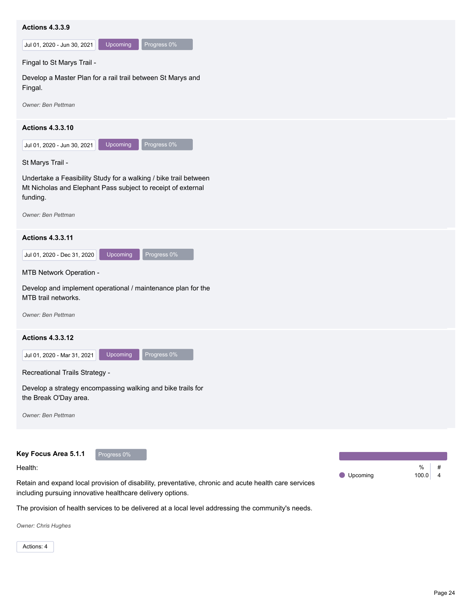| <b>Actions 4.3.3.9</b>                                                                                                                                              |
|---------------------------------------------------------------------------------------------------------------------------------------------------------------------|
| Progress 0%<br>Upcoming<br>Jul 01, 2020 - Jun 30, 2021                                                                                                              |
| Fingal to St Marys Trail -                                                                                                                                          |
| Develop a Master Plan for a rail trail between St Marys and<br>Fingal.                                                                                              |
| Owner: Ben Pettman                                                                                                                                                  |
| <b>Actions 4.3.3.10</b>                                                                                                                                             |
| Progress 0%<br>Upcoming<br>Jul 01, 2020 - Jun 30, 2021                                                                                                              |
| St Marys Trail -                                                                                                                                                    |
| Undertake a Feasibility Study for a walking / bike trail between<br>Mt Nicholas and Elephant Pass subject to receipt of external<br>funding.                        |
| Owner: Ben Pettman                                                                                                                                                  |
| <b>Actions 4.3.3.11</b>                                                                                                                                             |
| Progress 0%<br>Upcoming<br>Jul 01, 2020 - Dec 31, 2020                                                                                                              |
| MTB Network Operation -                                                                                                                                             |
| Develop and implement operational / maintenance plan for the<br>MTB trail networks.                                                                                 |
| Owner: Ben Pettman                                                                                                                                                  |
| <b>Actions 4.3.3.12</b>                                                                                                                                             |
| Progress 0%<br>Upcoming<br>Jul 01, 2020 - Mar 31, 2021                                                                                                              |
| Recreational Trails Strategy -                                                                                                                                      |
| Develop a strategy encompassing walking and bike trails for<br>the Break O'Day area.                                                                                |
| Owner: Ben Pettman                                                                                                                                                  |
|                                                                                                                                                                     |
| Key Focus Area 5.1.1<br>Progress 0%                                                                                                                                 |
| $\%$<br>Health:<br>#<br>Upcoming<br>100.0<br>$\overline{4}$                                                                                                         |
| Retain and expand local provision of disability, preventative, chronic and acute health care services<br>including pursuing innovative healthcare delivery options. |
| The provision of health services to be delivered at a local level addressing the community's needs.                                                                 |
| Owner: Chris Hughes                                                                                                                                                 |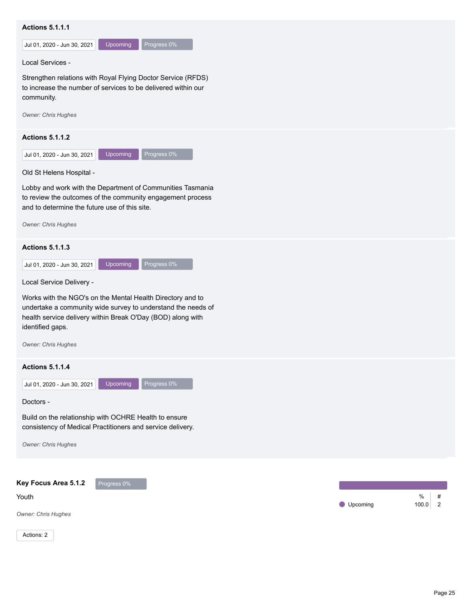| <b>Actions 5.1.1.1</b>                                                                                                                                                                                        |          |                                      |
|---------------------------------------------------------------------------------------------------------------------------------------------------------------------------------------------------------------|----------|--------------------------------------|
| Progress 0%<br>Upcoming<br>Jul 01, 2020 - Jun 30, 2021                                                                                                                                                        |          |                                      |
| Local Services -                                                                                                                                                                                              |          |                                      |
| Strengthen relations with Royal Flying Doctor Service (RFDS)<br>to increase the number of services to be delivered within our<br>community.                                                                   |          |                                      |
| Owner: Chris Hughes                                                                                                                                                                                           |          |                                      |
| <b>Actions 5.1.1.2</b>                                                                                                                                                                                        |          |                                      |
| Progress 0%<br>Upcoming<br>Jul 01, 2020 - Jun 30, 2021                                                                                                                                                        |          |                                      |
| Old St Helens Hospital -                                                                                                                                                                                      |          |                                      |
| Lobby and work with the Department of Communities Tasmania<br>to review the outcomes of the community engagement process<br>and to determine the future use of this site.                                     |          |                                      |
| <b>Owner: Chris Hughes</b>                                                                                                                                                                                    |          |                                      |
| <b>Actions 5.1.1.3</b>                                                                                                                                                                                        |          |                                      |
| Progress 0%<br>Upcoming<br>Jul 01, 2020 - Jun 30, 2021                                                                                                                                                        |          |                                      |
| Local Service Delivery -                                                                                                                                                                                      |          |                                      |
| Works with the NGO's on the Mental Health Directory and to<br>undertake a community wide survey to understand the needs of<br>health service delivery within Break O'Day (BOD) along with<br>identified gaps. |          |                                      |
| Owner: Chris Hughes                                                                                                                                                                                           |          |                                      |
| <b>Actions 5.1.1.4</b>                                                                                                                                                                                        |          |                                      |
| Progress 0%<br>Upcoming<br>Jul 01, 2020 - Jun 30, 2021                                                                                                                                                        |          |                                      |
| Doctors -                                                                                                                                                                                                     |          |                                      |
| Build on the relationship with OCHRE Health to ensure<br>consistency of Medical Practitioners and service delivery.                                                                                           |          |                                      |
| Owner: Chris Hughes                                                                                                                                                                                           |          |                                      |
|                                                                                                                                                                                                               |          |                                      |
| Key Focus Area 5.1.2<br>Progress 0%                                                                                                                                                                           |          |                                      |
| Youth                                                                                                                                                                                                         | Upcoming | $\%$<br>#<br>100.0<br>$\overline{2}$ |
| <b>Owner: Chris Hughes</b>                                                                                                                                                                                    |          |                                      |
| Actions: 2                                                                                                                                                                                                    |          |                                      |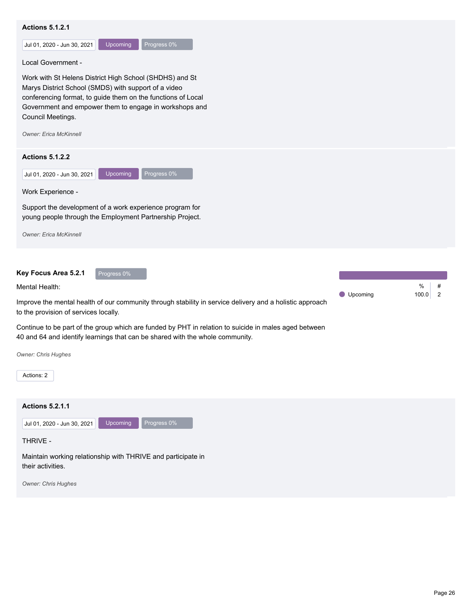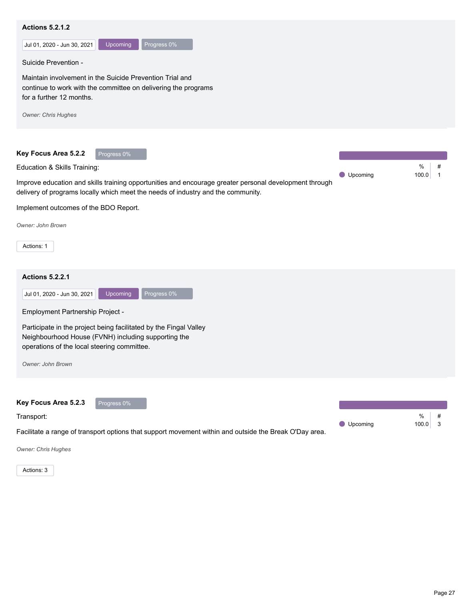| <b>Actions 5.2.1.2</b>                                                                                                                                                                     |          |                            |   |
|--------------------------------------------------------------------------------------------------------------------------------------------------------------------------------------------|----------|----------------------------|---|
| Progress 0%<br>Jul 01, 2020 - Jun 30, 2021<br>Upcoming                                                                                                                                     |          |                            |   |
| Suicide Prevention -                                                                                                                                                                       |          |                            |   |
| Maintain involvement in the Suicide Prevention Trial and<br>continue to work with the committee on delivering the programs<br>for a further 12 months.<br>Owner: Chris Hughes              |          |                            |   |
|                                                                                                                                                                                            |          |                            |   |
| Key Focus Area 5.2.2<br>Progress 0%<br>Education & Skills Training:                                                                                                                        | Upcoming | %<br>100.0<br>$\mathbf{1}$ | # |
| Improve education and skills training opportunities and encourage greater personal development through<br>delivery of programs locally which meet the needs of industry and the community. |          |                            |   |
| Implement outcomes of the BDO Report.                                                                                                                                                      |          |                            |   |
| Owner: John Brown                                                                                                                                                                          |          |                            |   |
| Actions: 1                                                                                                                                                                                 |          |                            |   |
| <b>Actions 5.2.2.1</b>                                                                                                                                                                     |          |                            |   |
| Progress 0%<br>Jul 01, 2020 - Jun 30, 2021<br>Upcoming                                                                                                                                     |          |                            |   |
| Employment Partnership Project -                                                                                                                                                           |          |                            |   |
| Participate in the project being facilitated by the Fingal Valley<br>Neighbourhood House (FVNH) including supporting the<br>operations of the local steering committee.                    |          |                            |   |
| Owner: John Brown                                                                                                                                                                          |          |                            |   |
|                                                                                                                                                                                            |          |                            |   |
| Key Focus Area 5.2.3<br>Progress 0%<br>Transport:                                                                                                                                          | Upcoming | %<br>#<br>100.0            | 3 |
| Facilitate a range of transport options that support movement within and outside the Break O'Day area.                                                                                     |          |                            |   |
| Owner: Chris Hughes                                                                                                                                                                        |          |                            |   |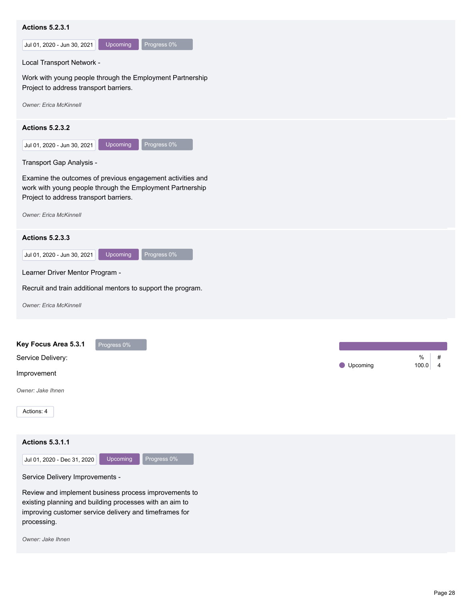| <b>Actions 5.2.3.1</b>                                                                                                                                                                    |          |            |
|-------------------------------------------------------------------------------------------------------------------------------------------------------------------------------------------|----------|------------|
| Upcoming<br>Progress 0%<br>Jul 01, 2020 - Jun 30, 2021                                                                                                                                    |          |            |
| Local Transport Network -                                                                                                                                                                 |          |            |
| Work with young people through the Employment Partnership<br>Project to address transport barriers.                                                                                       |          |            |
| Owner: Erica McKinnell                                                                                                                                                                    |          |            |
| <b>Actions 5.2.3.2</b>                                                                                                                                                                    |          |            |
| Progress 0%<br>Upcoming<br>Jul 01, 2020 - Jun 30, 2021                                                                                                                                    |          |            |
| Transport Gap Analysis -                                                                                                                                                                  |          |            |
| Examine the outcomes of previous engagement activities and<br>work with young people through the Employment Partnership<br>Project to address transport barriers.                         |          |            |
| <b>Owner: Erica McKinnell</b>                                                                                                                                                             |          |            |
| <b>Actions 5.2.3.3</b>                                                                                                                                                                    |          |            |
| Progress 0%<br>Upcoming<br>Jul 01, 2020 - Jun 30, 2021                                                                                                                                    |          |            |
| Learner Driver Mentor Program -                                                                                                                                                           |          |            |
| Recruit and train additional mentors to support the program.                                                                                                                              |          |            |
| Owner: Erica McKinnell                                                                                                                                                                    |          |            |
|                                                                                                                                                                                           |          |            |
| Key Focus Area 5.3.1<br>Progress 0%                                                                                                                                                       |          |            |
| Service Delivery:                                                                                                                                                                         |          | % $\mid$ # |
| Improvement                                                                                                                                                                               | Upcoming | 100.0<br>4 |
| Owner: Jake Ihnen                                                                                                                                                                         |          |            |
| Actions: 4                                                                                                                                                                                |          |            |
| <b>Actions 5.3.1.1</b>                                                                                                                                                                    |          |            |
| Progress 0%<br>Upcoming<br>Jul 01, 2020 - Dec 31, 2020                                                                                                                                    |          |            |
| Service Delivery Improvements -                                                                                                                                                           |          |            |
| Review and implement business process improvements to<br>existing planning and building processes with an aim to<br>improving customer service delivery and timeframes for<br>processing. |          |            |
| Owner: Jake Ihnen                                                                                                                                                                         |          |            |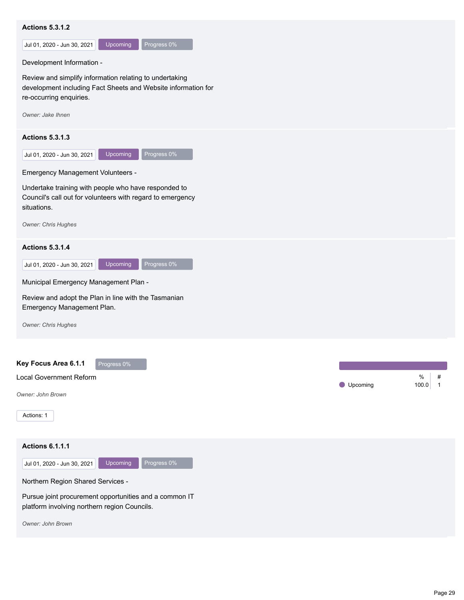| <b>Actions 5.3.1.2</b>                                                                                                                              |          |                                      |
|-----------------------------------------------------------------------------------------------------------------------------------------------------|----------|--------------------------------------|
| Progress 0%<br>Upcoming<br>Jul 01, 2020 - Jun 30, 2021                                                                                              |          |                                      |
| Development Information -                                                                                                                           |          |                                      |
| Review and simplify information relating to undertaking<br>development including Fact Sheets and Website information for<br>re-occurring enquiries. |          |                                      |
| Owner: Jake Ihnen                                                                                                                                   |          |                                      |
| <b>Actions 5.3.1.3</b>                                                                                                                              |          |                                      |
| Upcoming<br>Progress 0%<br>Jul 01, 2020 - Jun 30, 2021                                                                                              |          |                                      |
| <b>Emergency Management Volunteers -</b>                                                                                                            |          |                                      |
| Undertake training with people who have responded to<br>Council's call out for volunteers with regard to emergency<br>situations.                   |          |                                      |
| <b>Owner: Chris Hughes</b>                                                                                                                          |          |                                      |
| <b>Actions 5.3.1.4</b>                                                                                                                              |          |                                      |
| Progress 0%<br>Upcoming<br>Jul 01, 2020 - Jun 30, 2021                                                                                              |          |                                      |
| Municipal Emergency Management Plan -                                                                                                               |          |                                      |
| Review and adopt the Plan in line with the Tasmanian<br>Emergency Management Plan.                                                                  |          |                                      |
| Owner: Chris Hughes                                                                                                                                 |          |                                      |
| Key Focus Area 6.1.1<br>Progress 0%<br><b>Local Government Reform</b><br>Owner: John Brown                                                          | Upcoming | $\%$<br>#<br>100.0<br>$\overline{1}$ |
| Actions: 1                                                                                                                                          |          |                                      |
| <b>Actions 6.1.1.1</b>                                                                                                                              |          |                                      |
| Progress 0%<br>Upcoming<br>Jul 01, 2020 - Jun 30, 2021                                                                                              |          |                                      |
| Northern Region Shared Services -                                                                                                                   |          |                                      |
| Pursue joint procurement opportunities and a common IT<br>platform involving northern region Councils.                                              |          |                                      |
| Owner: John Brown                                                                                                                                   |          |                                      |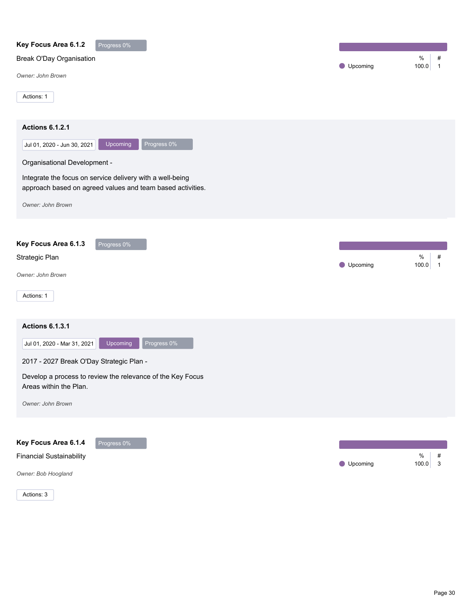| Key Focus Area 6.1.2<br>Progress 0%                                                                                                                                                                                                                              |                       |                                    |
|------------------------------------------------------------------------------------------------------------------------------------------------------------------------------------------------------------------------------------------------------------------|-----------------------|------------------------------------|
| Break O'Day Organisation                                                                                                                                                                                                                                         | Upcoming<br>$\bullet$ | $\%$<br>#<br>100.0<br>$\mathbf{1}$ |
| Owner: John Brown                                                                                                                                                                                                                                                |                       |                                    |
| Actions: 1                                                                                                                                                                                                                                                       |                       |                                    |
| <b>Actions 6.1.2.1</b><br>Progress 0%<br>Upcoming<br>Jul 01, 2020 - Jun 30, 2021<br>Organisational Development -<br>Integrate the focus on service delivery with a well-being<br>approach based on agreed values and team based activities.<br>Owner: John Brown |                       |                                    |
| Key Focus Area 6.1.3<br>Progress 0%<br>Strategic Plan<br>Owner: John Brown<br>Actions: 1                                                                                                                                                                         | Upcoming              | $\%$<br>#<br>100.0<br>$\mathbf{1}$ |
| <b>Actions 6.1.3.1</b><br>Progress 0%<br>Upcoming<br>Jul 01, 2020 - Mar 31, 2021<br>2017 - 2027 Break O'Day Strategic Plan -<br>Develop a process to review the relevance of the Key Focus<br>Areas within the Plan.<br>Owner: John Brown                        |                       |                                    |
| Key Focus Area 6.1.4<br>Progress 0%<br><b>Financial Sustainability</b><br>Owner: Bob Hoogland<br>Actions: 3                                                                                                                                                      | Upcoming              | $\%$<br>#<br>100.0<br>3            |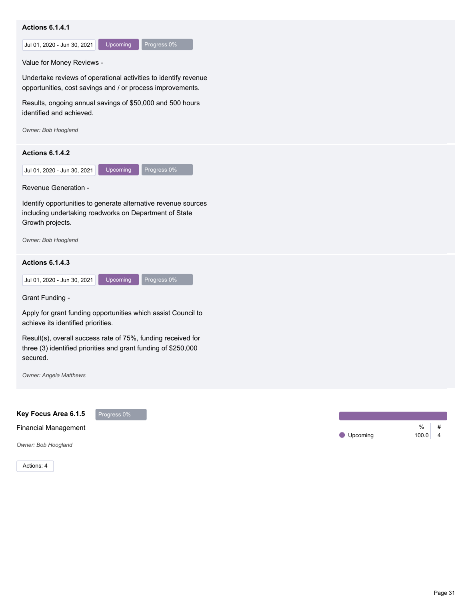#### **Actions 6.1.4.1**

Jul 01, 2020 - Jun 30, 2021 Upcoming Progress 0%

Value for Money Reviews -

Undertake reviews of operational activities to identify revenue opportunities, cost savings and / or process improvements.

Results, ongoing annual savings of \$50,000 and 500 hours identified and achieved.

*Owner: Bob Hoogland*



Revenue Generation -

Identify opportunities to generate alternative revenue sources including undertaking roadworks on Department of State Growth projects.

*Owner: Bob Hoogland*

#### **Actions 6.1.4.3**

Jul 01, 2020 - Jun 30, 2021 Upcoming Progress 0%

Grant Funding -

Apply for grant funding opportunities which assist Council to achieve its identified priorities.

Result(s), overall success rate of 75%, funding received for three (3) identified priorities and grant funding of \$250,000 secured.

*Owner: Angela Matthews*

**Key Focus Area 6.1.5** Progress 0%

Financial Management

*Owner: Bob Hoogland*

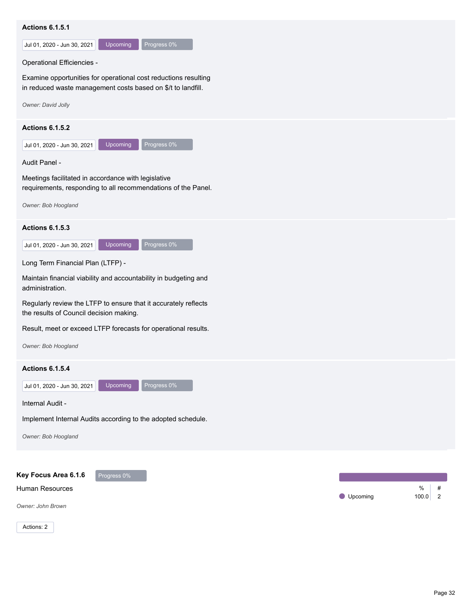#### **Actions 6.1.5.1**

Jul 01, 2020 - Jun 30, 2021 Upcoming Progress 0%

Operational Efficiencies -

Examine opportunities for operational cost reductions resulting in reduced waste management costs based on \$/t to landfill.

*Owner: David Jolly*



Audit Panel -

Meetings facilitated in accordance with legislative requirements, responding to all recommendations of the Panel.

*Owner: Bob Hoogland*



Jul 01, 2020 - Jun 30, 2021 Upcoming Progress 0%

Long Term Financial Plan (LTFP) -

Maintain financial viability and accountability in budgeting and administration.

Regularly review the LTFP to ensure that it accurately reflects the results of Council decision making.

Result, meet or exceed LTFP forecasts for operational results.

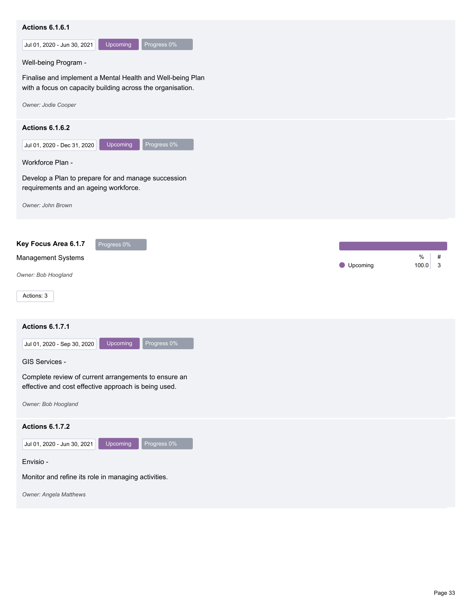| <b>Actions 6.1.6.1</b>                                                                                                   |          |                         |
|--------------------------------------------------------------------------------------------------------------------------|----------|-------------------------|
| Progress 0%<br>Upcoming<br>Jul 01, 2020 - Jun 30, 2021                                                                   |          |                         |
| Well-being Program -                                                                                                     |          |                         |
| Finalise and implement a Mental Health and Well-being Plan<br>with a focus on capacity building across the organisation. |          |                         |
| Owner: Jodie Cooper                                                                                                      |          |                         |
| <b>Actions 6.1.6.2</b>                                                                                                   |          |                         |
| Progress 0%<br>Upcoming<br>Jul 01, 2020 - Dec 31, 2020                                                                   |          |                         |
| Workforce Plan -                                                                                                         |          |                         |
| Develop a Plan to prepare for and manage succession<br>requirements and an ageing workforce.                             |          |                         |
| Owner: John Brown                                                                                                        |          |                         |
|                                                                                                                          |          |                         |
| Key Focus Area 6.1.7<br>Progress 0%<br>Management Systems<br>Owner: Bob Hoogland<br>Actions: 3                           | Upcoming | $\%$<br>#<br>3<br>100.0 |
| <b>Actions 6.1.7.1</b><br>Progress 0%<br>Upcoming<br>Jul 01, 2020 - Sep 30, 2020                                         |          |                         |
| GIS Services -                                                                                                           |          |                         |
| Complete review of current arrangements to ensure an<br>effective and cost effective approach is being used.             |          |                         |
| Owner: Bob Hoogland                                                                                                      |          |                         |
| <b>Actions 6.1.7.2</b>                                                                                                   |          |                         |
| Progress 0%<br>Upcoming<br>Jul 01, 2020 - Jun 30, 2021                                                                   |          |                         |
| Envisio -                                                                                                                |          |                         |
| Monitor and refine its role in managing activities.                                                                      |          |                         |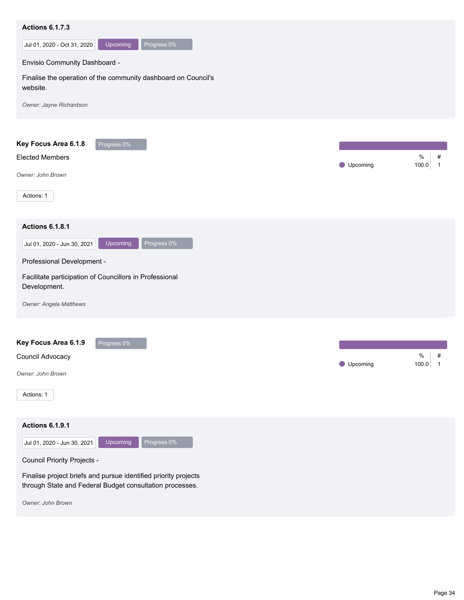| <b>Actions 6.1.7.3</b>                                                                                                      |          |                       |
|-----------------------------------------------------------------------------------------------------------------------------|----------|-----------------------|
| Progress 0%<br>Jul 01, 2020 - Oct 31, 2020<br>Upcoming                                                                      |          |                       |
| Envisio Community Dashboard -                                                                                               |          |                       |
| Finalise the operation of the community dashboard on Council's<br>website.                                                  |          |                       |
| Owner: Jayne Richardson                                                                                                     |          |                       |
| Key Focus Area 6.1.8                                                                                                        |          |                       |
| Progress 0%<br><b>Elected Members</b>                                                                                       |          | $\%$<br>#             |
| Owner: John Brown                                                                                                           | Upcoming | 100.0<br>$\mathbf{1}$ |
|                                                                                                                             |          |                       |
| Actions: 1                                                                                                                  |          |                       |
| <b>Actions 6.1.8.1</b>                                                                                                      |          |                       |
| Progress 0%<br>Jul 01, 2020 - Jun 30, 2021<br><b>Upcoming</b>                                                               |          |                       |
| Professional Development -                                                                                                  |          |                       |
| Facilitate participation of Councillors in Professional<br>Development.                                                     |          |                       |
| Owner: Angela Matthews                                                                                                      |          |                       |
|                                                                                                                             |          |                       |
| Key Focus Area 6.1.9<br>Progress 0%<br>Council Advocacy                                                                     |          | $\%$<br>#             |
| Owner: John Brown                                                                                                           | Upcoming | 100.0<br>$\mathbf 1$  |
|                                                                                                                             |          |                       |
| Actions: 1                                                                                                                  |          |                       |
| <b>Actions 6.1.9.1</b>                                                                                                      |          |                       |
| Progress 0%<br>Upcoming<br>Jul 01, 2020 - Jun 30, 2021                                                                      |          |                       |
| <b>Council Priority Projects -</b>                                                                                          |          |                       |
| Finalise project briefs and pursue identified priority projects<br>through State and Federal Budget consultation processes. |          |                       |
| Owner: John Brown                                                                                                           |          |                       |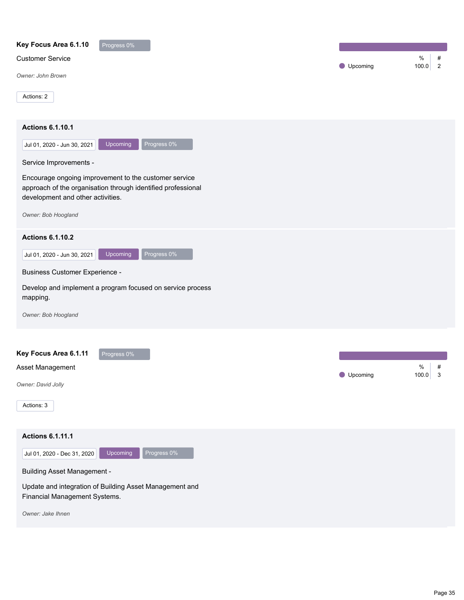| Key Focus Area 6.1.10<br>Progress 0%                                                                                                                                              |          |                                      |
|-----------------------------------------------------------------------------------------------------------------------------------------------------------------------------------|----------|--------------------------------------|
| <b>Customer Service</b>                                                                                                                                                           | Upcoming | $\%$<br>#<br>$\overline{2}$<br>100.0 |
| Owner: John Brown                                                                                                                                                                 |          |                                      |
| Actions: 2                                                                                                                                                                        |          |                                      |
| <b>Actions 6.1.10.1</b>                                                                                                                                                           |          |                                      |
| Progress 0%<br>Upcoming<br>Jul 01, 2020 - Jun 30, 2021                                                                                                                            |          |                                      |
| Service Improvements -                                                                                                                                                            |          |                                      |
| Encourage ongoing improvement to the customer service<br>approach of the organisation through identified professional<br>development and other activities.<br>Owner: Bob Hoogland |          |                                      |
| <b>Actions 6.1.10.2</b>                                                                                                                                                           |          |                                      |
| Progress 0%<br>Upcoming<br>Jul 01, 2020 - Jun 30, 2021                                                                                                                            |          |                                      |
| <b>Business Customer Experience -</b>                                                                                                                                             |          |                                      |
| Develop and implement a program focused on service process<br>mapping.                                                                                                            |          |                                      |
| Owner: Bob Hoogland                                                                                                                                                               |          |                                      |
| Key Focus Area 6.1.11<br>Progress 0%                                                                                                                                              |          |                                      |
| Asset Management                                                                                                                                                                  |          | #<br>$\%$                            |
| Owner: David Jolly                                                                                                                                                                | Upcoming | 100.0<br>3                           |
| Actions: 3                                                                                                                                                                        |          |                                      |
| <b>Actions 6.1.11.1</b>                                                                                                                                                           |          |                                      |
| Progress 0%<br>Upcoming<br>Jul 01, 2020 - Dec 31, 2020                                                                                                                            |          |                                      |
| <b>Building Asset Management -</b>                                                                                                                                                |          |                                      |
| Update and integration of Building Asset Management and<br>Financial Management Systems.                                                                                          |          |                                      |
| Owner: Jake Ihnen                                                                                                                                                                 |          |                                      |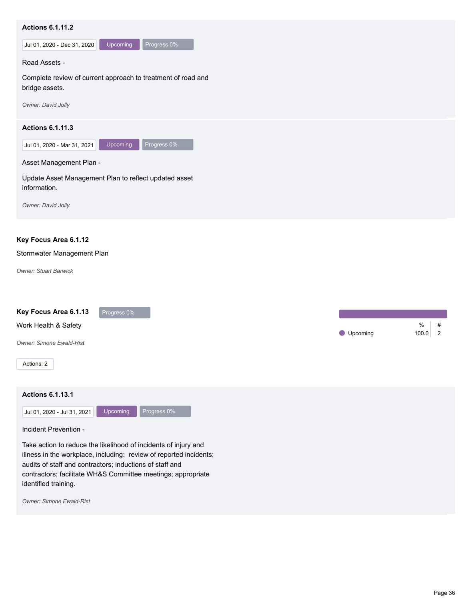| <b>Actions 6.1.11.2</b>                                                                                                                                                                                                                                           |          |                                      |
|-------------------------------------------------------------------------------------------------------------------------------------------------------------------------------------------------------------------------------------------------------------------|----------|--------------------------------------|
| Progress 0%<br>Jul 01, 2020 - Dec 31, 2020<br>Upcoming                                                                                                                                                                                                            |          |                                      |
| Road Assets -                                                                                                                                                                                                                                                     |          |                                      |
| Complete review of current approach to treatment of road and<br>bridge assets.                                                                                                                                                                                    |          |                                      |
| Owner: David Jolly                                                                                                                                                                                                                                                |          |                                      |
| <b>Actions 6.1.11.3</b>                                                                                                                                                                                                                                           |          |                                      |
| Progress 0%<br>Jul 01, 2020 - Mar 31, 2021<br>Upcoming                                                                                                                                                                                                            |          |                                      |
| Asset Management Plan -                                                                                                                                                                                                                                           |          |                                      |
| Update Asset Management Plan to reflect updated asset<br>information.                                                                                                                                                                                             |          |                                      |
| Owner: David Jolly                                                                                                                                                                                                                                                |          |                                      |
| Key Focus Area 6.1.12<br>Stormwater Management Plan<br><b>Owner: Stuart Barwick</b>                                                                                                                                                                               |          |                                      |
| Key Focus Area 6.1.13<br>Progress 0%                                                                                                                                                                                                                              |          |                                      |
| Work Health & Safety                                                                                                                                                                                                                                              | Upcoming | $\%$<br>#<br>$\overline{2}$<br>100.0 |
| <b>Owner: Simone Ewald-Rist</b>                                                                                                                                                                                                                                   |          |                                      |
| Actions: 2                                                                                                                                                                                                                                                        |          |                                      |
| <b>Actions 6.1.13.1</b>                                                                                                                                                                                                                                           |          |                                      |
| Progress 0%<br>Upcoming<br>Jul 01, 2020 - Jul 31, 2021                                                                                                                                                                                                            |          |                                      |
| Incident Prevention -                                                                                                                                                                                                                                             |          |                                      |
| Take action to reduce the likelihood of incidents of injury and<br>illness in the workplace, including: review of reported incidents;<br>audits of staff and contractors; inductions of staff and<br>contractors; facilitate WH&S Committee meetings; appropriate |          |                                      |

*Owner: Simone Ewald-Rist*

identified training.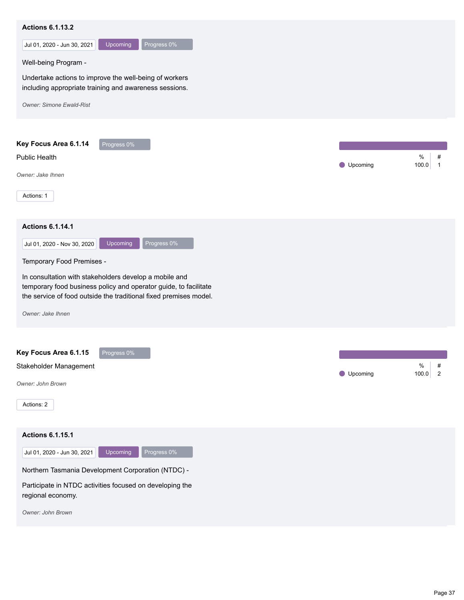| <b>Actions 6.1.13.2</b>                                                                                                                                                                         |          |                         |
|-------------------------------------------------------------------------------------------------------------------------------------------------------------------------------------------------|----------|-------------------------|
| Progress 0%<br>Upcoming<br>Jul 01, 2020 - Jun 30, 2021                                                                                                                                          |          |                         |
| Well-being Program -                                                                                                                                                                            |          |                         |
| Undertake actions to improve the well-being of workers<br>including appropriate training and awareness sessions.                                                                                |          |                         |
| Owner: Simone Ewald-Rist                                                                                                                                                                        |          |                         |
| Key Focus Area 6.1.14<br>Progress 0%                                                                                                                                                            |          |                         |
| Public Health                                                                                                                                                                                   |          | %<br>#                  |
| Owner: Jake Ihnen                                                                                                                                                                               | Upcoming | 100.0<br>-1             |
| Actions: 1                                                                                                                                                                                      |          |                         |
| <b>Actions 6.1.14.1</b>                                                                                                                                                                         |          |                         |
| Progress 0%<br>Jul 01, 2020 - Nov 30, 2020<br>Upcoming                                                                                                                                          |          |                         |
| Temporary Food Premises -                                                                                                                                                                       |          |                         |
| In consultation with stakeholders develop a mobile and<br>temporary food business policy and operator guide, to facilitate<br>the service of food outside the traditional fixed premises model. |          |                         |
| Owner: Jake Ihnen                                                                                                                                                                               |          |                         |
| Key Focus Area 6.1.15                                                                                                                                                                           |          |                         |
| Progress 0%<br>Stakeholder Management                                                                                                                                                           |          | $\%$<br>#               |
| Owner: John Brown                                                                                                                                                                               | Upcoming | 100.0<br>$\overline{2}$ |
| Actions: 2                                                                                                                                                                                      |          |                         |
| <b>Actions 6.1.15.1</b>                                                                                                                                                                         |          |                         |
| Progress 0%<br>Upcoming<br>Jul 01, 2020 - Jun 30, 2021                                                                                                                                          |          |                         |
| Northern Tasmania Development Corporation (NTDC) -                                                                                                                                              |          |                         |
| Participate in NTDC activities focused on developing the<br>regional economy.                                                                                                                   |          |                         |
| Owner: John Brown                                                                                                                                                                               |          |                         |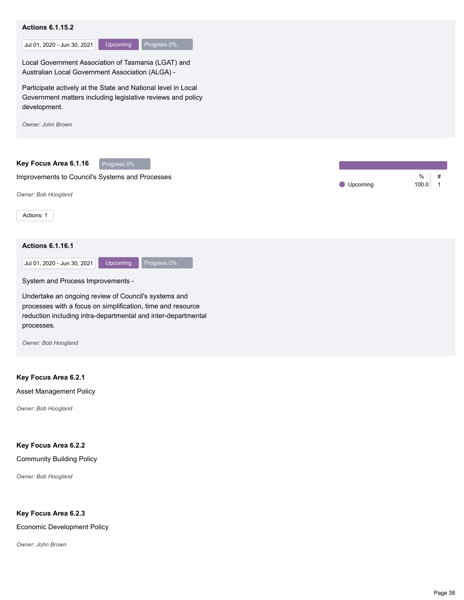

#### **Key Focus Area 6.2.1**

Asset Management Policy

*Owner: Bob Hoogland*

#### **Key Focus Area 6.2.2**

Community Building Policy

*Owner: Bob Hoogland*

#### **Key Focus Area 6.2.3**

#### Economic Development Policy

*Owner: John Brown*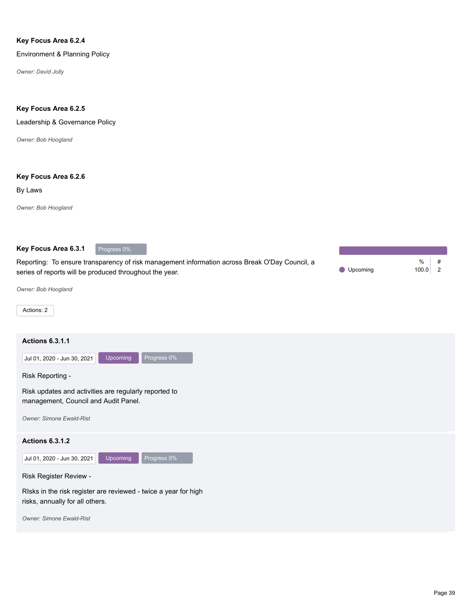#### **Key Focus Area 6.2.4**

Environment & Planning Policy

*Owner: David Jolly*

#### **Key Focus Area 6.2.5**

Leadership & Governance Policy

*Owner: Bob Hoogland*

#### **Key Focus Area 6.2.6**

By Laws

*Owner: Bob Hoogland*

**Key Focus Area 6.3.1** Progress 0%

Reporting: To ensure transparency of risk management information across Break O'Day Council, a series of reports will be produced throughout the year.

|                     | $\frac{0}{0}$ | # |
|---------------------|---------------|---|
| $\bigcirc$ Upcoming | 100.0         | 2 |

*Owner: Bob Hoogland*

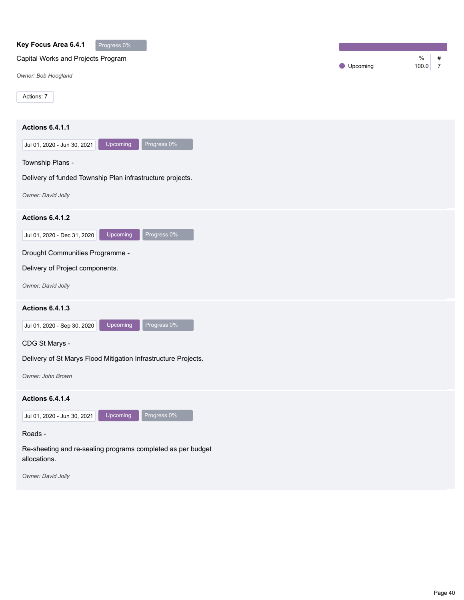| Key Focus Area 6.4.1<br>Progress 0%                       |          |                    |
|-----------------------------------------------------------|----------|--------------------|
| Capital Works and Projects Program                        |          | $\frac{0}{0}$<br># |
| Owner: Bob Hoogland                                       | Upcoming | 7<br>100.0         |
| Actions: 7                                                |          |                    |
| <b>Actions 6.4.1.1</b>                                    |          |                    |
| Progress 0%<br>Upcoming<br>Jul 01, 2020 - Jun 30, 2021    |          |                    |
| Township Plans -                                          |          |                    |
| Delivery of funded Township Plan infrastructure projects. |          |                    |
| Owner: David Jolly                                        |          |                    |



*Owner: David Jolly*